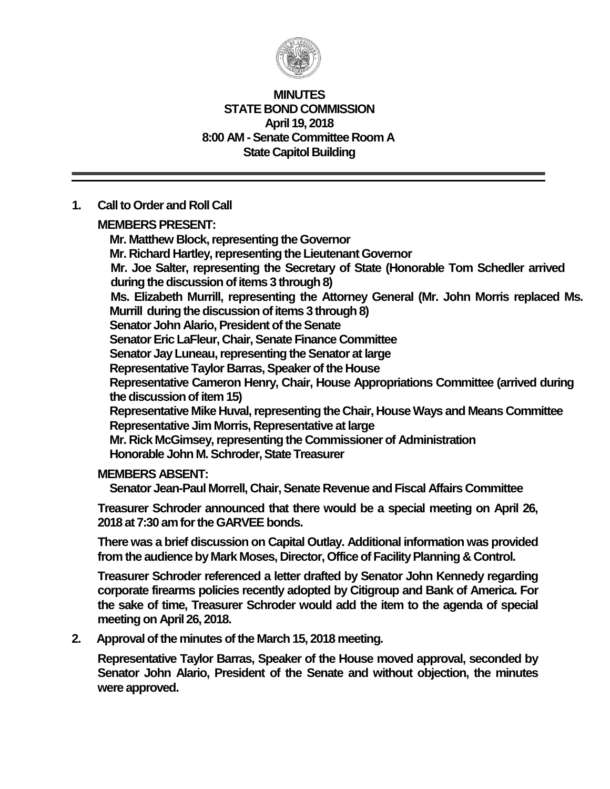

#### **MINUTES STATE BOND COMMISSION April 19, 2018 8:00 AM - Senate Committee Room A State Capitol Building**

### **1. Call to Order and Roll Call**

**MEMBERS PRESENT:**

**Mr. Matthew Block, representing the Governor Mr. Richard Hartley, representing the Lieutenant Governor Mr. Joe Salter, representing the Secretary of State (Honorable Tom Schedler arrived** during the discussion of items 3 through 8) **Ms. Elizabeth Murrill, representing the Attorney General (Mr. John Morris replaced Ms. Murrill during the discussion of items 3 through 8) Senator John Alario, President of the Senate Senator Eric LaFleur, Chair, Senate Finance Committee Senator Jay Luneau, representing the Senator at large Representative Taylor Barras, Speaker of the House Representative Cameron Henry, Chair, House Appropriations Committee (arrived during the discussion of item 15) Representative Mike Huval, representing the Chair, House Ways and Means Committee Representative Jim Morris, Representative at large Mr. Rick McGimsey, representing the Commissioner of Administration Honorable John M. Schroder, State Treasurer**

### **MEMBERS ABSENT:**

**Senator Jean-Paul Morrell, Chair, Senate Revenue and Fiscal Affairs Committee**

**Treasurer Schroder announced that there would be a special meeting on April 26, 2018 at 7:30 am for the GARVEE bonds.**

**There was a brief discussion on Capital Outlay. Additional information was provided from the audience by Mark Moses, Director, Office of Facility Planning & Control.**

**Treasurer Schroder referenced a letter drafted by Senator John Kennedy regarding corporate firearms policies recently adopted by Citigroup and Bank of America. For the sake of time, Treasurer Schroder would add the item to the agenda of special meeting on April 26, 2018.**

**2. Approval of the minutes of the March 15, 2018 meeting.**

**Representative Taylor Barras, Speaker of the House moved approval, seconded by Senator John Alario, President of the Senate and without objection, the minutes were approved.**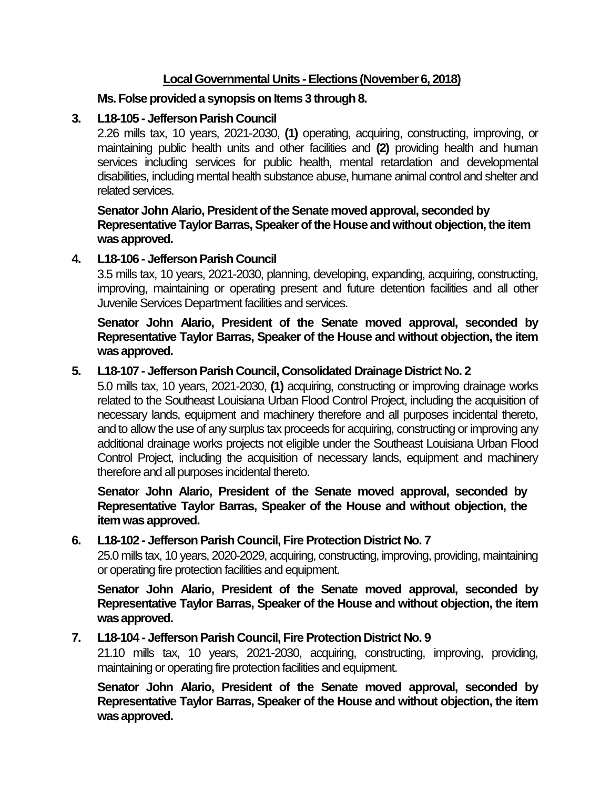## **Local Governmental Units - Elections (November 6, 2018)**

### **Ms. Folse provided a synopsis on Items 3 through 8.**

# **3. L18-105 - Jefferson Parish Council**

2.26 mills tax, 10 years, 2021-2030, **(1)** operating, acquiring, constructing, improving, or maintaining public health units and other facilities and **(2)** providing health and human services including services for public health, mental retardation and developmental disabilities, including mental health substance abuse, humane animal control and shelter and related services.

### **Senator John Alario, President of the Senate moved approval, seconded by Representative Taylor Barras, Speaker of the House and without objection, the item was approved.**

# **4. L18-106 - Jefferson Parish Council**

3.5 mills tax, 10 years, 2021-2030, planning, developing, expanding, acquiring, constructing, improving, maintaining or operating present and future detention facilities and all other Juvenile Services Department facilities and services.

**Senator John Alario, President of the Senate moved approval, seconded by Representative Taylor Barras, Speaker of the House and without objection, the item was approved.**

# **5. L18-107 - Jefferson Parish Council, Consolidated Drainage District No. 2**

5.0 mills tax, 10 years, 2021-2030, **(1)** acquiring, constructing or improving drainage works related to the Southeast Louisiana Urban Flood Control Project, including the acquisition of necessary lands, equipment and machinery therefore and all purposes incidental thereto, and to allow the use of any surplus tax proceeds for acquiring, constructing or improving any additional drainage works projects not eligible under the Southeast Louisiana Urban Flood Control Project, including the acquisition of necessary lands, equipment and machinery therefore and all purposes incidental thereto.

**Senator John Alario, President of the Senate moved approval, seconded by Representative Taylor Barras, Speaker of the House and without objection, the item was approved.**

### **6. L18-102 - Jefferson Parish Council, Fire Protection District No. 7**

25.0 mills tax, 10 years, 2020-2029, acquiring, constructing, improving, providing, maintaining or operating fire protection facilities and equipment.

**Senator John Alario, President of the Senate moved approval, seconded by Representative Taylor Barras, Speaker of the House and without objection, the item was approved.**

### **7. L18-104 - Jefferson Parish Council, Fire Protection District No. 9**

21.10 mills tax, 10 years, 2021-2030, acquiring, constructing, improving, providing, maintaining or operating fire protection facilities and equipment.

**Senator John Alario, President of the Senate moved approval, seconded by Representative Taylor Barras, Speaker of the House and without objection, the item was approved.**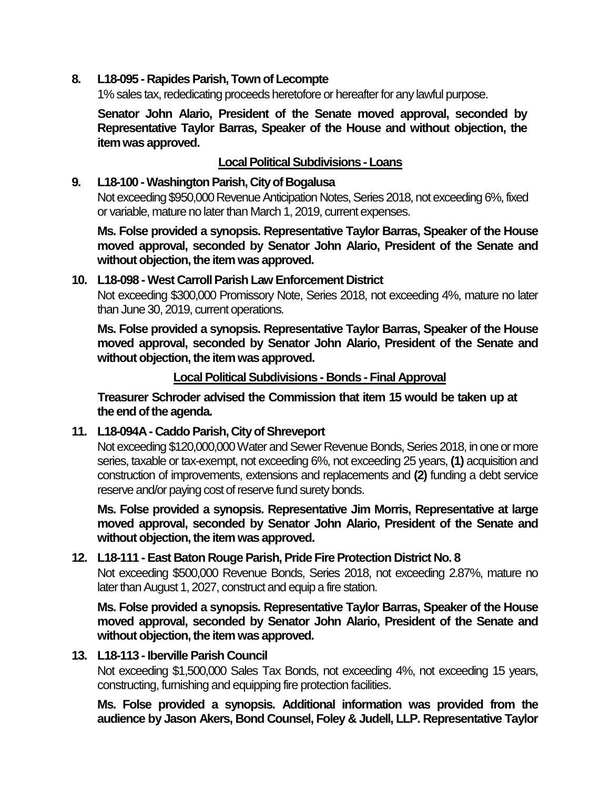#### **8. L18-095 - Rapides Parish, Town of Lecompte**

1% sales tax, rededicating proceeds heretofore or hereafter for any lawful purpose.

**Senator John Alario, President of the Senate moved approval, seconded by Representative Taylor Barras, Speaker of the House and without objection, the item was approved.**

### **Local Political Subdivisions -Loans**

#### **9. L18-100 -Washington Parish, City of Bogalusa**

Not exceeding \$950,000 Revenue Anticipation Notes, Series 2018, not exceeding 6%, fixed or variable, mature no later than March 1, 2019, current expenses.

**Ms. Folse provided a synopsis. Representative Taylor Barras, Speaker of the House moved approval, seconded by Senator John Alario, President of the Senate and without objection, the item was approved.**

### **10. L18-098 - West Carroll Parish Law Enforcement District**

Not exceeding \$300,000 Promissory Note, Series 2018, not exceeding 4%, mature no later than June 30, 2019, current operations.

**Ms. Folse provided a synopsis. Representative Taylor Barras, Speaker of the House moved approval, seconded by Senator John Alario, President of the Senate and without objection, the item was approved.**

#### **Local Political Subdivisions - Bonds - Final Approval**

**Treasurer Schroder advised the Commission that item 15 would be taken up at the end of the agenda.**

### **11. L18-094A - Caddo Parish, City of Shreveport**

Not exceeding \$120,000,000 Water and Sewer Revenue Bonds, Series 2018, in one or more series, taxable or tax-exempt, not exceeding 6%, not exceeding 25 years, **(1)** acquisition and construction of improvements, extensions and replacements and **(2)** funding a debt service reserve and/or paying cost of reserve fund surety bonds.

**Ms. Folse provided a synopsis. Representative Jim Morris, Representative at large moved approval, seconded by Senator John Alario, President of the Senate and without objection, the item was approved.**

### **12. L18-111 - East Baton Rouge Parish, Pride Fire Protection District No. 8**

Not exceeding \$500,000 Revenue Bonds, Series 2018, not exceeding 2.87%, mature no later than August 1, 2027, construct and equip a fire station.

**Ms. Folse provided a synopsis. Representative Taylor Barras, Speaker of the House moved approval, seconded by Senator John Alario, President of the Senate and without objection, the item was approved.**

#### **13. L18-113 - Iberville Parish Council**

Not exceeding \$1,500,000 Sales Tax Bonds, not exceeding 4%, not exceeding 15 years, constructing, furnishing and equipping fire protection facilities.

**Ms. Folse provided a synopsis. Additional information was provided from the audience by Jason Akers, Bond Counsel, Foley & Judell, LLP. Representative Taylor**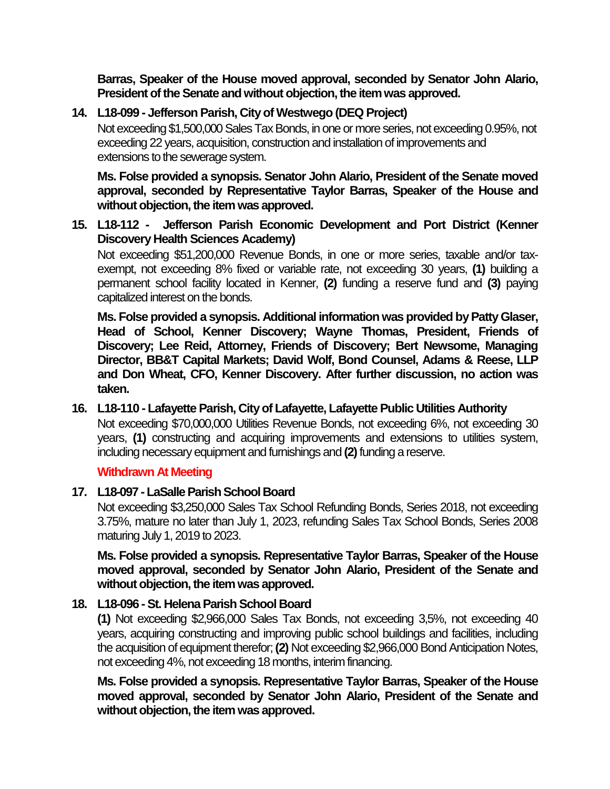**Barras, Speaker of the House moved approval, seconded by Senator John Alario, President of the Senate and without objection, the item was approved.**

# **14. L18-099 - Jefferson Parish, City of Westwego (DEQ Project)**

Not exceeding \$1,500,000 Sales Tax Bonds, in one or more series, not exceeding 0.95%, not exceeding 22 years, acquisition, construction and installation of improvements and extensions to the sewerage system.

**Ms. Folse provided a synopsis. Senator John Alario, President of the Senate moved approval, seconded by Representative Taylor Barras, Speaker of the House and without objection, the item was approved.**

**15. L18-112 - Jefferson Parish Economic Development and Port District (Kenner Discovery Health Sciences Academy)**

Not exceeding \$51,200,000 Revenue Bonds, in one or more series, taxable and/or taxexempt, not exceeding 8% fixed or variable rate, not exceeding 30 years, **(1)** building a permanent school facility located in Kenner, **(2)** funding a reserve fund and **(3)** paying capitalized interest on the bonds.

**Ms. Folse provided a synopsis. Additional information was provided by Patty Glaser, Head of School, Kenner Discovery; Wayne Thomas, President, Friends of Discovery; Lee Reid, Attorney, Friends of Discovery; Bert Newsome, Managing Director, BB&T Capital Markets; David Wolf, Bond Counsel, Adams & Reese, LLP and Don Wheat, CFO, Kenner Discovery. After further discussion, no action was taken.**

### **16. L18-110 - Lafayette Parish, City of Lafayette, Lafayette Public Utilities Authority**

Not exceeding \$70,000,000 Utilities Revenue Bonds, not exceeding 6%, not exceeding 30 years, **(1)** constructing and acquiring improvements and extensions to utilities system, including necessary equipment and furnishings and **(2)**funding a reserve.

### **Withdrawn At Meeting**

### **17. L18-097 -LaSalle Parish School Board**

Not exceeding \$3,250,000 Sales Tax School Refunding Bonds, Series 2018, not exceeding 3.75%, mature no later than July 1, 2023, refunding Sales Tax School Bonds, Series 2008 maturing July 1, 2019 to 2023.

**Ms. Folse provided a synopsis. Representative Taylor Barras, Speaker of the House moved approval, seconded by Senator John Alario, President of the Senate and without objection, the item was approved.**

# **18. L18-096 - St. Helena Parish School Board**

**(1)** Not exceeding \$2,966,000 Sales Tax Bonds, not exceeding 3,5%, not exceeding 40 years, acquiring constructing and improving public school buildings and facilities, including the acquisition of equipment therefor; **(2)** Not exceeding \$2,966,000 Bond Anticipation Notes, not exceeding 4%, not exceeding 18 months, interim financing.

**Ms. Folse provided a synopsis. Representative Taylor Barras, Speaker of the House moved approval, seconded by Senator John Alario, President of the Senate and without objection, the item was approved.**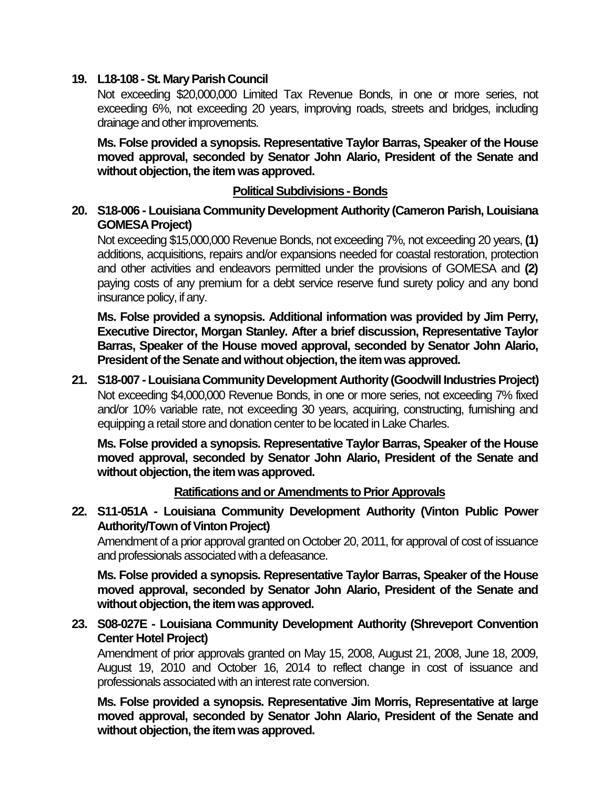### **19. L18-108 -St. Mary Parish Council**

Not exceeding \$20,000,000 Limited Tax Revenue Bonds, in one or more series, not exceeding 6%, not exceeding 20 years, improving roads, streets and bridges, including drainage and other improvements.

**Ms. Folse provided a synopsis. Representative Taylor Barras, Speaker of the House moved approval, seconded by Senator John Alario, President of the Senate and without objection, the item was approved.**

### **Political Subdivisions - Bonds**

**20. S18-006 - Louisiana Community Development Authority (Cameron Parish, Louisiana GOMESA Project)**

Not exceeding \$15,000,000 Revenue Bonds, not exceeding 7%, not exceeding 20 years, **(1)** additions, acquisitions, repairs and/or expansions needed for coastal restoration, protection and other activities and endeavors permitted under the provisions of GOMESA and **(2)** paying costs of any premium for a debt service reserve fund surety policy and any bond insurance policy, if any.

**Ms. Folse provided a synopsis. Additional information was provided by Jim Perry, Executive Director, Morgan Stanley. After a brief discussion, Representative Taylor Barras, Speaker of the House moved approval, seconded by Senator John Alario, President of the Senate and without objection, the item was approved.**

**21. S18-007 - Louisiana Community Development Authority (Goodwill Industries Project)** Not exceeding \$4,000,000 Revenue Bonds, in one or more series, not exceeding 7% fixed and/or 10% variable rate, not exceeding 30 years, acquiring, constructing, furnishing and equipping a retail store and donation center to be located in Lake Charles.

**Ms. Folse provided a synopsis. Representative Taylor Barras, Speaker of the House moved approval, seconded by Senator John Alario, President of the Senate and without objection, the item was approved.**

**Ratifications and or Amendments to Prior Approvals**

**22. S11-051A - Louisiana Community Development Authority (Vinton Public Power Authority/Town of Vinton Project)**

Amendment of a prior approval granted on October 20, 2011, for approval of cost of issuance and professionals associated with a defeasance.

**Ms. Folse provided a synopsis. Representative Taylor Barras, Speaker of the House moved approval, seconded by Senator John Alario, President of the Senate and without objection, the item was approved.**

**23. S08-027E - Louisiana Community Development Authority (Shreveport Convention Center Hotel Project)**

Amendment of prior approvals granted on May 15, 2008, August 21, 2008, June 18, 2009, August 19, 2010 and October 16, 2014 to reflect change in cost of issuance and professionals associated with an interest rate conversion.

**Ms. Folse provided a synopsis. Representative Jim Morris, Representative at large moved approval, seconded by Senator John Alario, President of the Senate and without objection, the item was approved.**